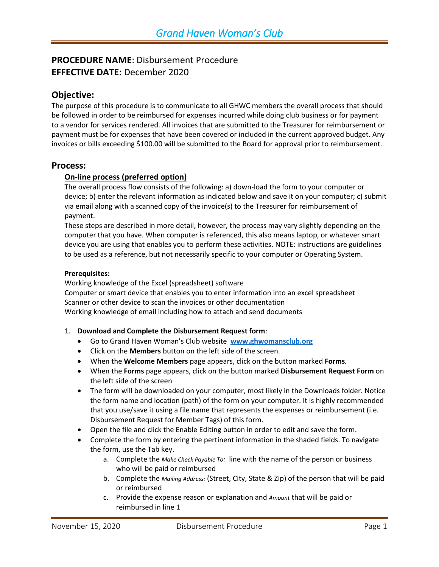# **PROCEDURE NAME**: Disbursement Procedure **EFFECTIVE DATE:** December 2020

# **Objective:**

The purpose of this procedure is to communicate to all GHWC members the overall process that should be followed in order to be reimbursed for expenses incurred while doing club business or for payment to a vendor for services rendered. All invoices that are submitted to the Treasurer for reimbursement or payment must be for expenses that have been covered or included in the current approved budget. Any invoices or bills exceeding \$100.00 will be submitted to the Board for approval prior to reimbursement.

## **Process:**

## **On-line process (preferred option)**

The overall process flow consists of the following: a) down-load the form to your computer or device; b) enter the relevant information as indicated below and save it on your computer; c) submit via email along with a scanned copy of the invoice(s) to the Treasurer for reimbursement of payment.

These steps are described in more detail, however, the process may vary slightly depending on the computer that you have. When computer is referenced, this also means laptop, or whatever smart device you are using that enables you to perform these activities. NOTE: instructions are guidelines to be used as a reference, but not necessarily specific to your computer or Operating System.

#### **Prerequisites:**

Working knowledge of the Excel (spreadsheet) software Computer or smart device that enables you to enter information into an excel spreadsheet Scanner or other device to scan the invoices or other documentation Working knowledge of email including how to attach and send documents

- 1. **Download and Complete the Disbursement Request form**:
	- Go to Grand Haven Woman's Club website **[www.ghwomansclub.org](http://www.ghwomansclub.org/)**
	- Click on the **Members** button on the left side of the screen.
	- When the **Welcome Members** page appears, click on the button marked **Forms***.*
	- When the **Forms** page appears, click on the button marked **Disbursement Request Form** on the left side of the screen
	- The form will be downloaded on your computer, most likely in the Downloads folder. Notice the form name and location (path) of the form on your computer. It is highly recommended that you use/save it using a file name that represents the expenses or reimbursement (i.e. Disbursement Request for Member Tags) of this form.
	- Open the file and click the Enable Editing button in order to edit and save the form.
	- Complete the form by entering the pertinent information in the shaded fields. To navigate the form, use the Tab key.
		- a. Complete the *Make Check Payable To:* line with the name of the person or business who will be paid or reimbursed
		- b. Complete the *Mailing Address:* (Street, City, State & Zip) of the person that will be paid or reimbursed
		- c. Provide the expense reason or explanation and *Amount* that will be paid or reimbursed in line 1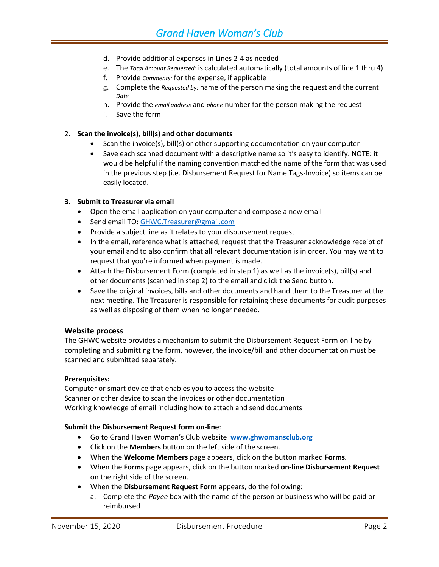- d. Provide additional expenses in Lines 2-4 as needed
- e. The *Total Amount Requested:* is calculated automatically (total amounts of line 1 thru 4)
- f. Provide *Comments:* for the expense, if applicable
- g. Complete the *Requested by:* name of the person making the request and the current *Date*
- h. Provide the *email address* and *phone* number for the person making the request
- i. Save the form

#### 2. **Scan the invoice(s), bill(s) and other documents**

- Scan the invoice(s), bill(s) or other supporting documentation on your computer
- Save each scanned document with a descriptive name so it's easy to identify. NOTE: it would be helpful if the naming convention matched the name of the form that was used in the previous step (i.e. Disbursement Request for Name Tags-Invoice) so items can be easily located.

#### **3. Submit to Treasurer via email**

- Open the email application on your computer and compose a new email
- Send email TO[: GHWC.Treasurer@gmail.com](mailto:GHWC.Treasurer@gmail.com)
- Provide a subject line as it relates to your disbursement request
- In the email, reference what is attached, request that the Treasurer acknowledge receipt of your email and to also confirm that all relevant documentation is in order. You may want to request that you're informed when payment is made.
- Attach the Disbursement Form (completed in step 1) as well as the invoice(s), bill(s) and other documents (scanned in step 2) to the email and click the Send button.
- Save the original invoices, bills and other documents and hand them to the Treasurer at the next meeting. The Treasurer is responsible for retaining these documents for audit purposes as well as disposing of them when no longer needed.

#### **Website process**

The GHWC website provides a mechanism to submit the Disbursement Request Form on-line by completing and submitting the form, however, the invoice/bill and other documentation must be scanned and submitted separately.

#### **Prerequisites:**

Computer or smart device that enables you to access the website Scanner or other device to scan the invoices or other documentation Working knowledge of email including how to attach and send documents

#### **Submit the Disbursement Request form on-line**:

- Go to Grand Haven Woman's Club website **[www.ghwomansclub.org](http://www.ghwomansclub.org/)**
- Click on the **Members** button on the left side of the screen.
- When the **Welcome Members** page appears, click on the button marked **Forms***.*
- When the **Forms** page appears, click on the button marked **on-line Disbursement Request**  on the right side of the screen.
- When the **Disbursement Request Form** appears, do the following:
	- a. Complete the *Payee* box with the name of the person or business who will be paid or reimbursed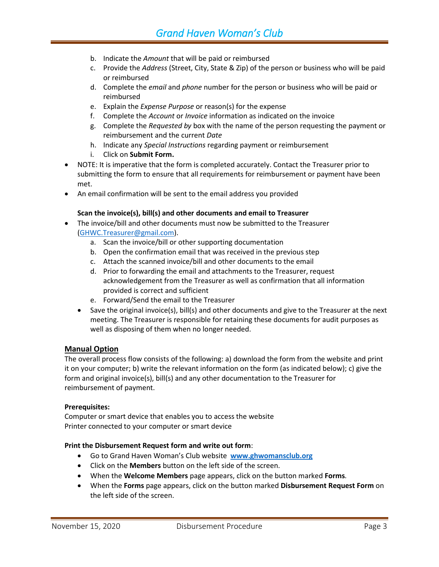- b. Indicate the *Amount* that will be paid or reimbursed
- c. Provide the *Address* (Street, City, State & Zip) of the person or business who will be paid or reimbursed
- d. Complete the *email* and *phone* number for the person or business who will be paid or reimbursed
- e. Explain the *Expense Purpose* or reason(s) for the expense
- f. Complete the *Account* or *Invoice* information as indicated on the invoice
- g. Complete the *Requested by* box with the name of the person requesting the payment or reimbursement and the current *Date*
- h. Indicate any *Special Instructions* regarding payment or reimbursement
- i. Click on **Submit Form.**
- NOTE: It is imperative that the form is completed accurately. Contact the Treasurer prior to submitting the form to ensure that all requirements for reimbursement or payment have been met.
- An email confirmation will be sent to the email address you provided

#### **Scan the invoice(s), bill(s) and other documents and email to Treasurer**

- The invoice/bill and other documents must now be submitted to the Treasurer [\(GHWC.Treasurer@gmail.com\)](mailto:GHWC.Treasurer@gmail.com).
	- a. Scan the invoice/bill or other supporting documentation
	- b. Open the confirmation email that was received in the previous step
	- c. Attach the scanned invoice/bill and other documents to the email
	- d. Prior to forwarding the email and attachments to the Treasurer, request acknowledgement from the Treasurer as well as confirmation that all information provided is correct and sufficient
	- e. Forward/Send the email to the Treasurer
	- $\bullet$  Save the original invoice(s), bill(s) and other documents and give to the Treasurer at the next meeting. The Treasurer is responsible for retaining these documents for audit purposes as well as disposing of them when no longer needed.

#### **Manual Option**

The overall process flow consists of the following: a) download the form from the website and print it on your computer; b) write the relevant information on the form (as indicated below); c) give the form and original invoice(s), bill(s) and any other documentation to the Treasurer for reimbursement of payment.

#### **Prerequisites:**

Computer or smart device that enables you to access the website Printer connected to your computer or smart device

#### **Print the Disbursement Request form and write out form**:

- Go to Grand Haven Woman's Club website **[www.ghwomansclub.org](http://www.ghwomansclub.org/)**
- Click on the **Members** button on the left side of the screen.
- When the **Welcome Members** page appears, click on the button marked **Forms***.*
- When the **Forms** page appears, click on the button marked **Disbursement Request Form** on the left side of the screen.